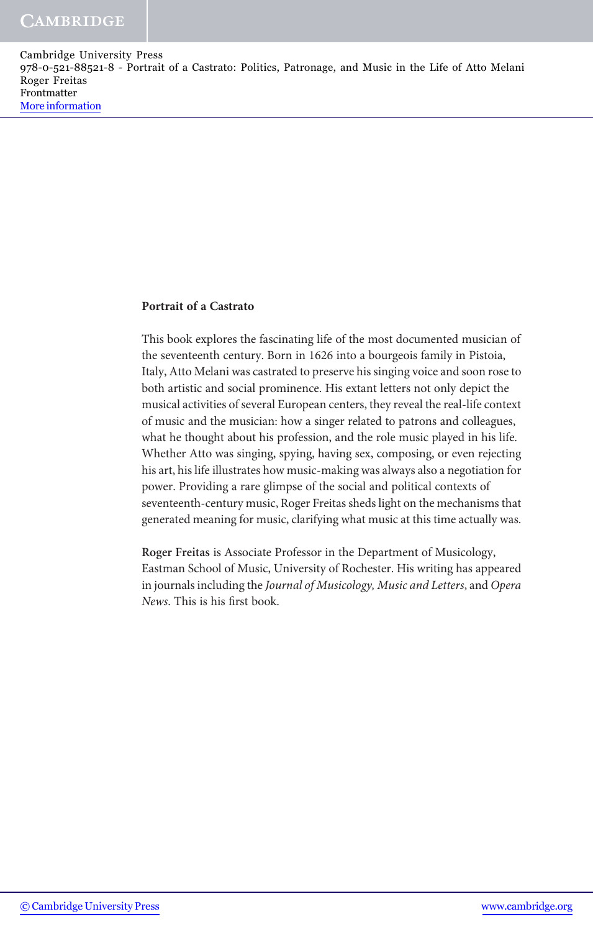#### Portrait of a Castrato

This book explores the fascinating life of the most documented musician of the seventeenth century. Born in 1626 into a bourgeois family in Pistoia, Italy, Atto Melani was castrated to preserve his singing voice and soon rose to both artistic and social prominence. His extant letters not only depict the musical activities of several European centers, they reveal the real-life context of music and the musician: how a singer related to patrons and colleagues, what he thought about his profession, and the role music played in his life. Whether Atto was singing, spying, having sex, composing, or even rejecting his art, his life illustrates how music-making was always also a negotiation for power. Providing a rare glimpse of the social and political contexts of seventeenth-century music, Roger Freitas sheds light on the mechanisms that generated meaning for music, clarifying what music at this time actually was.

Roger Freitas is Associate Professor in the Department of Musicology, Eastman School of Music, University of Rochester. His writing has appeared in journals including the Journal of Musicology, Music and Letters, and Opera News. This is his first book.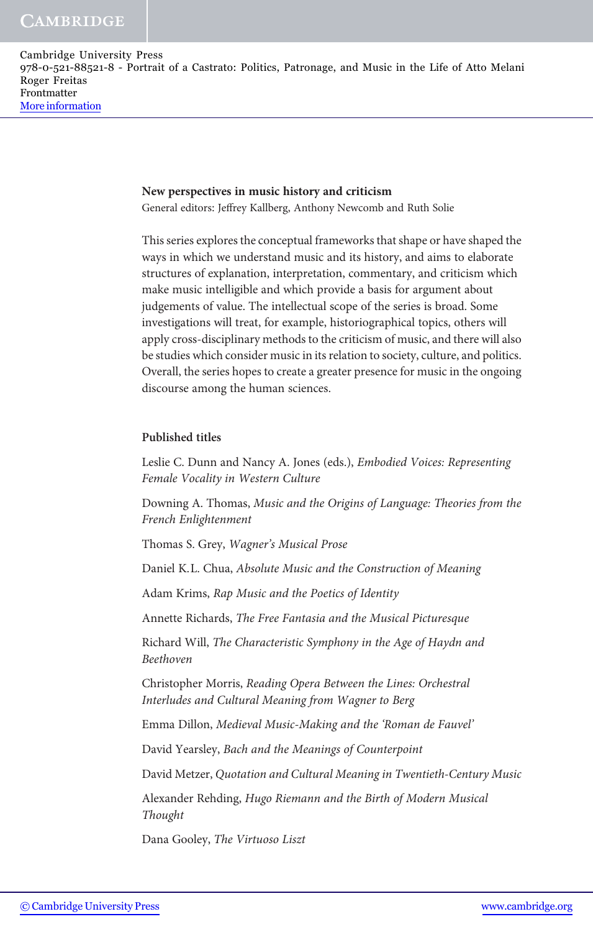#### New perspectives in music history and criticism

General editors: Jeffrey Kallberg, Anthony Newcomb and Ruth Solie

This series explores the conceptual frameworks that shape or have shaped the ways in which we understand music and its history, and aims to elaborate structures of explanation, interpretation, commentary, and criticism which make music intelligible and which provide a basis for argument about judgements of value. The intellectual scope of the series is broad. Some investigations will treat, for example, historiographical topics, others will apply cross-disciplinary methods to the criticism of music, and there will also be studies which consider music in its relation to society, culture, and politics. Overall, the series hopes to create a greater presence for music in the ongoing discourse among the human sciences.

#### Published titles

Leslie C. Dunn and Nancy A. Jones (eds.), Embodied Voices: Representing Female Vocality in Western Culture

Downing A. Thomas, Music and the Origins of Language: Theories from the French Enlightenment

Thomas S. Grey, Wagner's Musical Prose

Daniel K.L. Chua, Absolute Music and the Construction of Meaning

Adam Krims, Rap Music and the Poetics of Identity

Annette Richards, The Free Fantasia and the Musical Picturesque

Richard Will, The Characteristic Symphony in the Age of Haydn and Beethoven

Christopher Morris, Reading Opera Between the Lines: Orchestral Interludes and Cultural Meaning from Wagner to Berg

Emma Dillon, Medieval Music-Making and the 'Roman de Fauvel'

David Yearsley, Bach and the Meanings of Counterpoint

David Metzer, Quotation and Cultural Meaning in Twentieth-Century Music

Alexander Rehding, Hugo Riemann and the Birth of Modern Musical Thought

Dana Gooley, The Virtuoso Liszt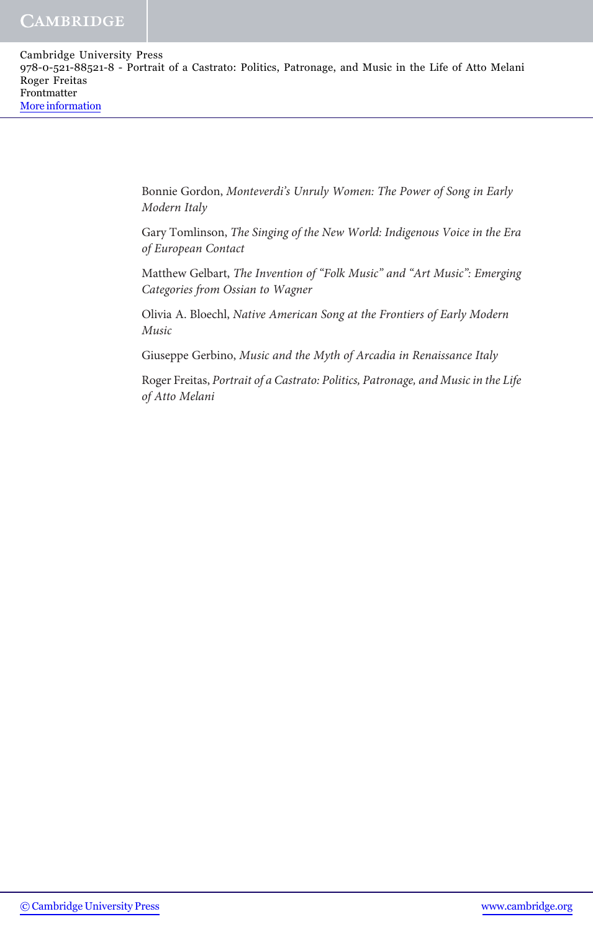> Bonnie Gordon, Monteverdi's Unruly Women: The Power of Song in Early Modern Italy

Gary Tomlinson, The Singing of the New World: Indigenous Voice in the Era of European Contact

Matthew Gelbart, The Invention of "Folk Music" and "Art Music": Emerging Categories from Ossian to Wagner

Olivia A. Bloechl, Native American Song at the Frontiers of Early Modern Music

Giuseppe Gerbino, Music and the Myth of Arcadia in Renaissance Italy

Roger Freitas, Portrait of a Castrato: Politics, Patronage, and Music in the Life of Atto Melani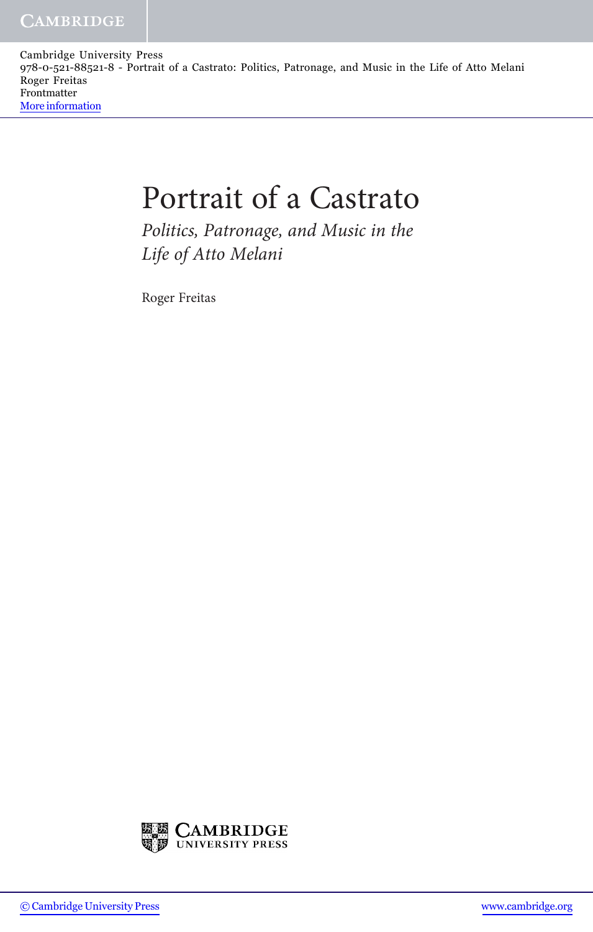# Portrait of a Castrato

Politics, Patronage, and Music in the Life of Atto Melani

Roger Freitas

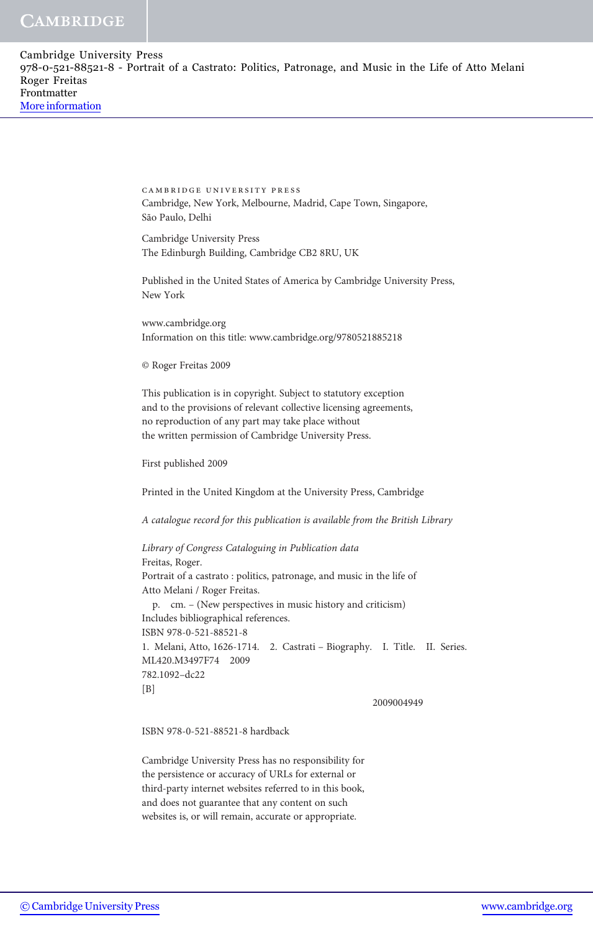> cambridge university press Cambridge, New York, Melbourne, Madrid, Cape Town, Singapore, São Paulo, Delhi

Cambridge University Press The Edinburgh Building, Cambridge CB2 8RU, UK

Published in the United States of America by Cambridge University Press, New York

www.cambridge.org Information on this title: www.cambridge.org/9780521885218

© Roger Freitas 2009

This publication is in copyright. Subject to statutory exception and to the provisions of relevant collective licensing agreements, no reproduction of any part may take place without the written permission of Cambridge University Press.

First published 2009

Printed in the United Kingdom at the University Press, Cambridge

A catalogue record for this publication is available from the British Library

Library of Congress Cataloguing in Publication data Freitas, Roger. Portrait of a castrato : politics, patronage, and music in the life of Atto Melani / Roger Freitas. p. cm. – (New perspectives in music history and criticism) Includes bibliographical references. ISBN 978-0-521-88521-8 1. Melani, Atto, 1626-1714. 2. Castrati – Biography. I. Title. II. Series. ML420.M3497F74 2009 782.1092–dc22  $[B]$ 

2009004949

ISBN 978-0-521-88521-8 hardback

Cambridge University Press has no responsibility for the persistence or accuracy of URLs for external or third-party internet websites referred to in this book, and does not guarantee that any content on such websites is, or will remain, accurate or appropriate.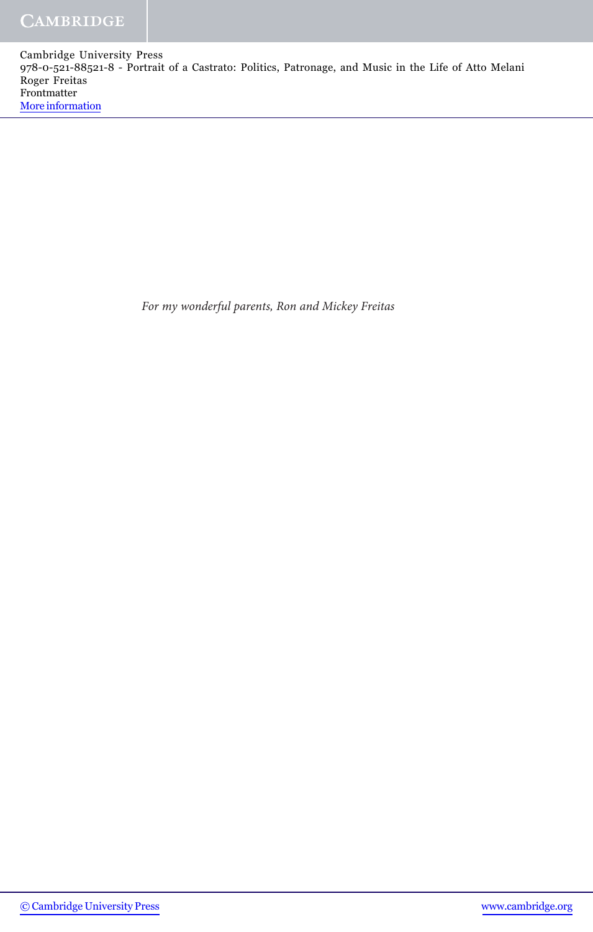For my wonderful parents, Ron and Mickey Freitas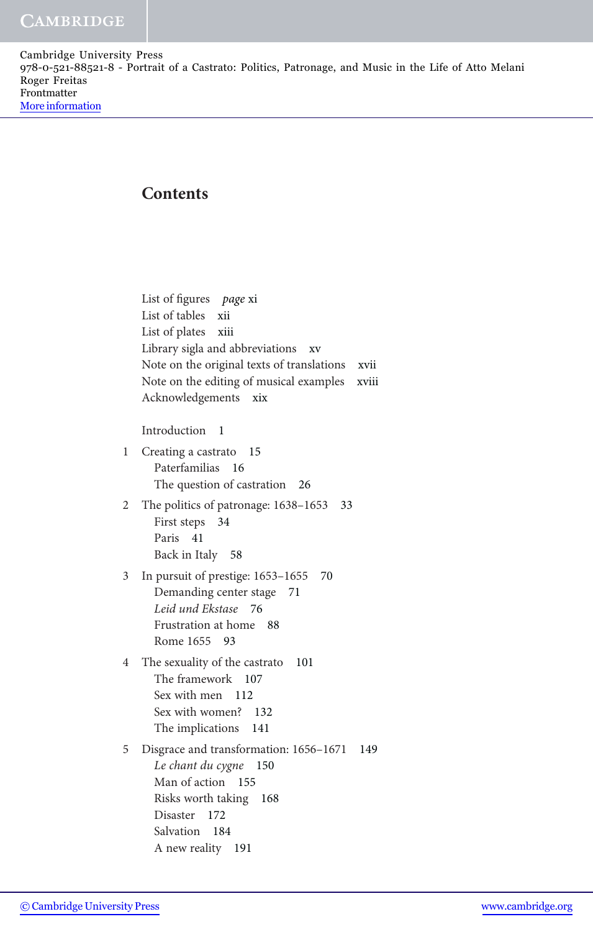# **Contents**

List of figures page xi List of tables xii List of plates xiii Library sigla and abbreviations xv Note on the original texts of translations xvii Note on the editing of musical examples xviii Acknowledgements xix Introduction 1 1 Creating a castrato 15 Paterfamilias 16 The question of castration 26 2 The politics of patronage: 1638–1653 33 First steps 34 Paris 41 Back in Italy 58 3 In pursuit of prestige: 1653–1655 70 Demanding center stage 71 Leid und Ekstase 76 Frustration at home 88 Rome 1655 93 4 The sexuality of the castrato 101 The framework 107 Sex with men 112 Sex with women? 132 The implications 141 5 Disgrace and transformation: 1656–1671 149 Le chant du cygne 150 Man of action 155 Risks worth taking 168 Disaster 172 Salvation 184 A new reality 191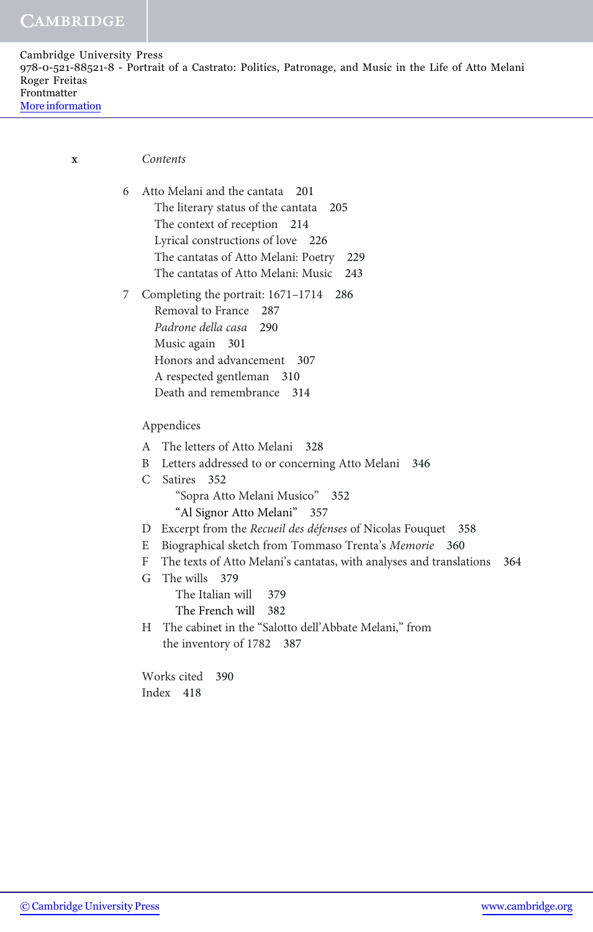x Contents

| 6 | Atto Melani and the cantata<br>201<br>The literary status of the cantata<br>205<br>The context of reception<br>214<br>Lyrical constructions of love 226<br>The cantatas of Atto Melani: Poetry<br>229<br>The cantatas of Atto Melani: Music<br>243                                                                                                                                                                                                                                                                                                                                        |
|---|-------------------------------------------------------------------------------------------------------------------------------------------------------------------------------------------------------------------------------------------------------------------------------------------------------------------------------------------------------------------------------------------------------------------------------------------------------------------------------------------------------------------------------------------------------------------------------------------|
| 7 | Completing the portrait: 1671-1714 286<br>Removal to France<br>287<br>Padrone della casa<br>290<br>Music again 301<br>Honors and advancement<br>307<br>A respected gentleman 310<br>Death and remembrance<br>314                                                                                                                                                                                                                                                                                                                                                                          |
|   | Appendices                                                                                                                                                                                                                                                                                                                                                                                                                                                                                                                                                                                |
|   | The letters of Atto Melani<br>A<br>328<br>B.<br>Letters addressed to or concerning Atto Melani 346<br>C<br>Satires 352<br>"Sopra Atto Melani Musico" 352<br>"Al Signor Atto Melani" 357<br>Excerpt from the Recueil des défenses of Nicolas Fouquet<br>D<br>358<br>Biographical sketch from Tommaso Trenta's Memorie<br>E<br>360<br>F<br>The texts of Atto Melani's cantatas, with analyses and translations<br>364<br>G<br>The wills 379<br>The Italian will<br>379<br>The French will<br>382<br>The cabinet in the "Salotto dell'Abbate Melani," from<br>H<br>the inventory of 1782 387 |
|   | Works cited<br>390<br>Index<br>418                                                                                                                                                                                                                                                                                                                                                                                                                                                                                                                                                        |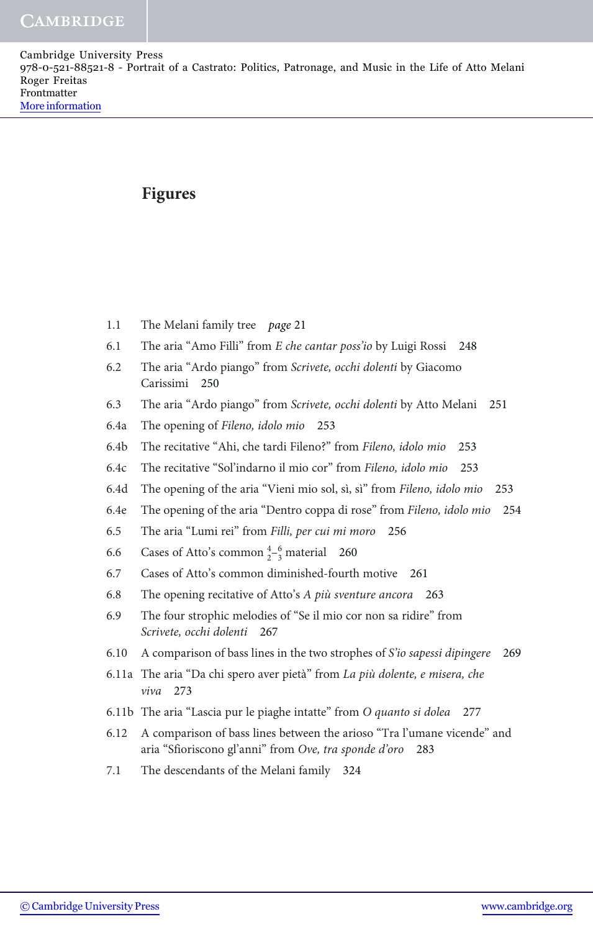# Figures

| 1.1   | The Melani family tree page 21                                                                                                       |  |  |  |  |  |
|-------|--------------------------------------------------------------------------------------------------------------------------------------|--|--|--|--|--|
| 6.1   | The aria "Amo Filli" from <i>E</i> che cantar poss'io by Luigi Rossi 248                                                             |  |  |  |  |  |
| 6.2   | The aria "Ardo piango" from Scrivete, occhi dolenti by Giacomo<br>Carissimi<br>250                                                   |  |  |  |  |  |
| 6.3   | The aria "Ardo piango" from Scrivete, occhi dolenti by Atto Melani<br>251                                                            |  |  |  |  |  |
| 6.4a  | The opening of Fileno, idolo mio<br>253                                                                                              |  |  |  |  |  |
| 6.4b  | The recitative "Ahi, che tardi Fileno?" from Fileno, idolo mio<br>253                                                                |  |  |  |  |  |
| 6.4c  | The recitative "Sol'indarno il mio cor" from Fileno, idolo mio<br>253                                                                |  |  |  |  |  |
| 6.4d  | The opening of the aria "Vieni mio sol, sì, sì" from Fileno, idolo mio<br>253                                                        |  |  |  |  |  |
| 6.4e  | The opening of the aria "Dentro coppa di rose" from Fileno, idolo mio<br>254                                                         |  |  |  |  |  |
| 6.5   | The aria "Lumi rei" from Filli, per cui mi moro 256                                                                                  |  |  |  |  |  |
| 6.6   | Cases of Atto's common $\frac{4}{2}$ - $\frac{6}{3}$ material 260                                                                    |  |  |  |  |  |
| 6.7   | Cases of Atto's common diminished-fourth motive 261                                                                                  |  |  |  |  |  |
| 6.8   | The opening recitative of Atto's A più sventure ancora 263                                                                           |  |  |  |  |  |
| 6.9   | The four strophic melodies of "Se il mio cor non sa ridire" from<br>Scrivete, occhi dolenti<br>267                                   |  |  |  |  |  |
| 6.10  | A comparison of bass lines in the two strophes of S'io sapessi dipingere<br>269                                                      |  |  |  |  |  |
| 6.11a | The aria "Da chi spero aver pietà" from La più dolente, e misera, che<br>viva<br>273                                                 |  |  |  |  |  |
|       | 6.11b The aria "Lascia pur le piaghe intatte" from O quanto si dolea<br>277                                                          |  |  |  |  |  |
| 6.12  | A comparison of bass lines between the arioso "Tra l'umane vicende" and<br>aria "Sfioriscono gl'anni" from Ove, tra sponde d'oro 283 |  |  |  |  |  |
| 7.1   | The descendants of the Melani family 324                                                                                             |  |  |  |  |  |
|       |                                                                                                                                      |  |  |  |  |  |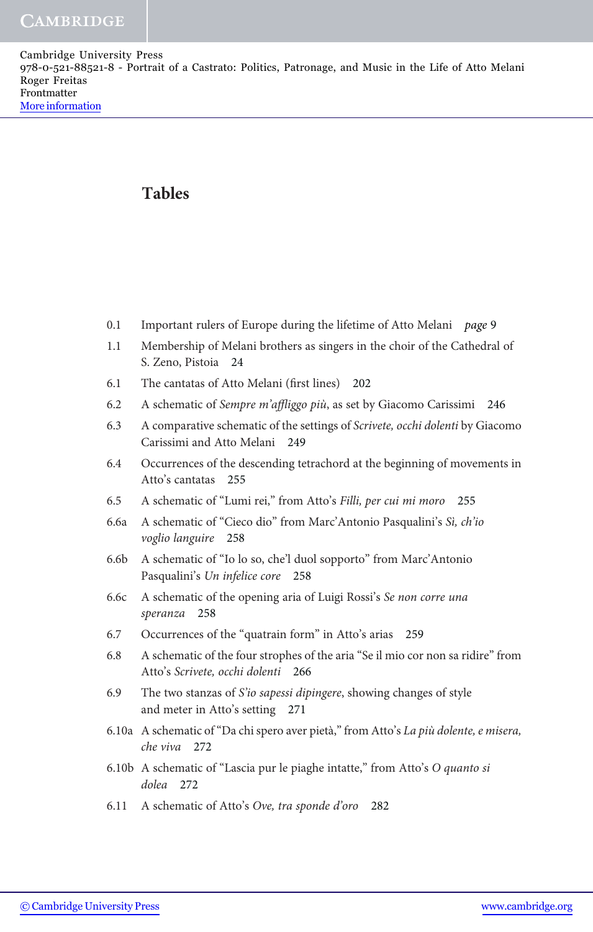## Tables

- 0.1 Important rulers of Europe during the lifetime of Atto Melani page 9
- 1.1 Membership of Melani brothers as singers in the choir of the Cathedral of S. Zeno, Pistoia 24
- 6.1 The cantatas of Atto Melani (first lines) 202
- 6.2 A schematic of Sempre m'affliggo più, as set by Giacomo Carissimi 246
- 6.3 A comparative schematic of the settings of Scrivete, occhi dolenti by Giacomo Carissimi and Atto Melani 249
- 6.4 Occurrences of the descending tetrachord at the beginning of movements in Atto's cantatas 255
- 6.5 A schematic of "Lumi rei," from Atto's Filli, per cui mi moro 255
- 6.6a A schematic of "Cieco dio" from Marc'Antonio Pasqualini's Sì, ch'io voglio languire 258
- 6.6b A schematic of "Io lo so, che'l duol sopporto" from Marc'Antonio Pasqualini's Un infelice core 258
- 6.6c A schematic of the opening aria of Luigi Rossi's Se non corre una speranza 258
- 6.7 Occurrences of the "quatrain form" in Atto's arias 259
- 6.8 A schematic of the four strophes of the aria "Se il mio cor non sa ridire" from Atto's Scrivete, occhi dolenti 266
- 6.9 The two stanzas of S'io sapessi dipingere, showing changes of style and meter in Atto's setting 271
- 6.10a A schematic of"Da chi spero aver pietà,"from Atto's La più dolente, e misera, che viva 272
- 6.10b A schematic of "Lascia pur le piaghe intatte," from Atto's O quanto si dolea 272
- 6.11 A schematic of Atto's Ove, tra sponde d'oro 282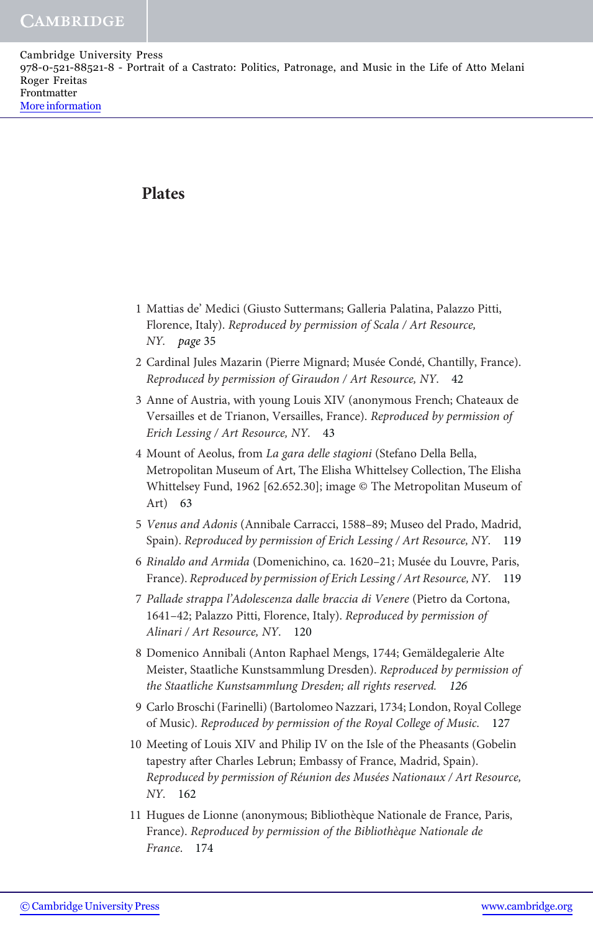### Plates

- 1 Mattias de' Medici (Giusto Suttermans; Galleria Palatina, Palazzo Pitti, Florence, Italy). Reproduced by permission of Scala / Art Resource, NY. page 35
- 2 Cardinal Jules Mazarin (Pierre Mignard; Musée Condé, Chantilly, France). Reproduced by permission of Giraudon / Art Resource, NY. 42
- 3 Anne of Austria, with young Louis XIV (anonymous French; Chateaux de Versailles et de Trianon, Versailles, France). Reproduced by permission of Erich Lessing / Art Resource, NY. 43
- 4 Mount of Aeolus, from La gara delle stagioni (Stefano Della Bella, Metropolitan Museum of Art, The Elisha Whittelsey Collection, The Elisha Whittelsey Fund, 1962 [62.652.30]; image © The Metropolitan Museum of Art) 63
- 5 Venus and Adonis (Annibale Carracci, 1588–89; Museo del Prado, Madrid, Spain). Reproduced by permission of Erich Lessing / Art Resource, NY. 119
- 6 Rinaldo and Armida (Domenichino, ca. 1620–21; Musée du Louvre, Paris, France). Reproduced by permission of Erich Lessing / Art Resource, NY. 119
- 7 Pallade strappa l'Adolescenza dalle braccia di Venere (Pietro da Cortona, 1641–42; Palazzo Pitti, Florence, Italy). Reproduced by permission of Alinari / Art Resource, NY. 120
- 8 Domenico Annibali (Anton Raphael Mengs, 1744; Gemäldegalerie Alte Meister, Staatliche Kunstsammlung Dresden). Reproduced by permission of the Staatliche Kunstsammlung Dresden; all rights reserved. 126
- 9 Carlo Broschi (Farinelli) (Bartolomeo Nazzari, 1734; London, Royal College of Music). Reproduced by permission of the Royal College of Music. 127
- 10 Meeting of Louis XIV and Philip IV on the Isle of the Pheasants (Gobelin tapestry after Charles Lebrun; Embassy of France, Madrid, Spain). Reproduced by permission of Réunion des Musées Nationaux / Art Resource, NY. 162
- 11 Hugues de Lionne (anonymous; Bibliothèque Nationale de France, Paris, France). Reproduced by permission of the Bibliothèque Nationale de France. 174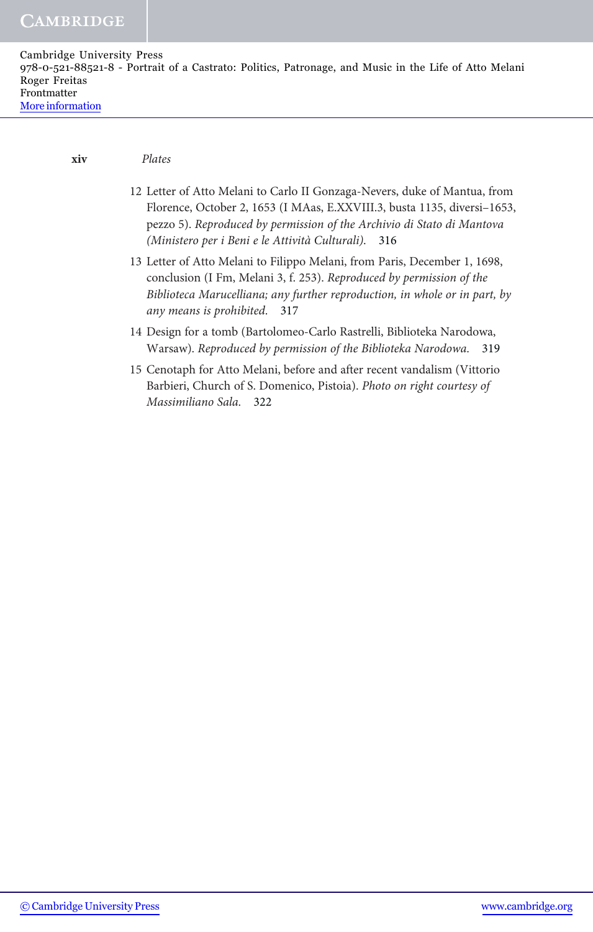#### xiv Plates

- 12 Letter of Atto Melani to Carlo II Gonzaga-Nevers, duke of Mantua, from Florence, October 2, 1653 (I MAas, E.XXVIII.3, busta 1135, diversi–1653, pezzo 5). Reproduced by permission of the Archivio di Stato di Mantova (Ministero per i Beni e le Attività Culturali). 316
- 13 Letter of Atto Melani to Filippo Melani, from Paris, December 1, 1698, conclusion (I Fm, Melani 3, f. 253). Reproduced by permission of the Biblioteca Marucelliana; any further reproduction, in whole or in part, by any means is prohibited. 317
- 14 Design for a tomb (Bartolomeo-Carlo Rastrelli, Biblioteka Narodowa, Warsaw). Reproduced by permission of the Biblioteka Narodowa. 319
- 15 Cenotaph for Atto Melani, before and after recent vandalism (Vittorio Barbieri, Church of S. Domenico, Pistoia). Photo on right courtesy of Massimiliano Sala. 322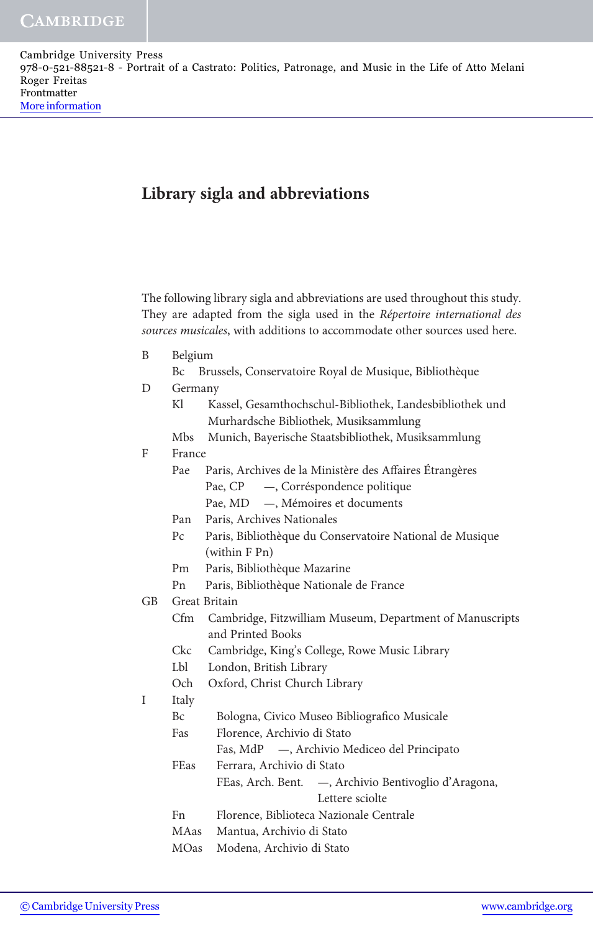# Library sigla and abbreviations

|    |                                                                         | The following library sigla and abbreviations are used throughout this study.<br>They are adapted from the sigla used in the Répertoire international des |  |  |  |  |  |
|----|-------------------------------------------------------------------------|-----------------------------------------------------------------------------------------------------------------------------------------------------------|--|--|--|--|--|
|    |                                                                         | sources musicales, with additions to accommodate other sources used here.                                                                                 |  |  |  |  |  |
| Β  |                                                                         |                                                                                                                                                           |  |  |  |  |  |
|    | Belgium<br>Brussels, Conservatoire Royal de Musique, Bibliothèque<br>Bc |                                                                                                                                                           |  |  |  |  |  |
| D  | Germany                                                                 |                                                                                                                                                           |  |  |  |  |  |
|    | Kl                                                                      | Kassel, Gesamthochschul-Bibliothek, Landesbibliothek und                                                                                                  |  |  |  |  |  |
|    |                                                                         | Murhardsche Bibliothek, Musiksammlung                                                                                                                     |  |  |  |  |  |
|    | Mbs                                                                     | Munich, Bayerische Staatsbibliothek, Musiksammlung                                                                                                        |  |  |  |  |  |
| F  | France                                                                  |                                                                                                                                                           |  |  |  |  |  |
|    | Pae                                                                     | Paris, Archives de la Ministère des Affaires Étrangères                                                                                                   |  |  |  |  |  |
|    |                                                                         | Pae, CP -, Corréspondence politique                                                                                                                       |  |  |  |  |  |
|    |                                                                         | Pae, MD -, Mémoires et documents                                                                                                                          |  |  |  |  |  |
|    | Pan                                                                     | Paris, Archives Nationales                                                                                                                                |  |  |  |  |  |
|    | Pc                                                                      | Paris, Bibliothèque du Conservatoire National de Musique                                                                                                  |  |  |  |  |  |
|    |                                                                         | (within F Pn)                                                                                                                                             |  |  |  |  |  |
|    | Pm                                                                      | Paris, Bibliothèque Mazarine                                                                                                                              |  |  |  |  |  |
|    | Pn                                                                      | Paris, Bibliothèque Nationale de France                                                                                                                   |  |  |  |  |  |
| GB | Great Britain                                                           |                                                                                                                                                           |  |  |  |  |  |
|    | Cfm                                                                     | Cambridge, Fitzwilliam Museum, Department of Manuscripts<br>and Printed Books                                                                             |  |  |  |  |  |
|    | Ckc                                                                     | Cambridge, King's College, Rowe Music Library                                                                                                             |  |  |  |  |  |
|    | Lbl                                                                     | London, British Library                                                                                                                                   |  |  |  |  |  |
|    | Och                                                                     | Oxford, Christ Church Library                                                                                                                             |  |  |  |  |  |
| I  | Italy                                                                   |                                                                                                                                                           |  |  |  |  |  |
|    | Bc                                                                      | Bologna, Civico Museo Bibliografico Musicale                                                                                                              |  |  |  |  |  |
|    | Fas                                                                     | Florence, Archivio di Stato                                                                                                                               |  |  |  |  |  |
|    |                                                                         | Fas, MdP -, Archivio Mediceo del Principato                                                                                                               |  |  |  |  |  |
|    | FEas                                                                    | Ferrara, Archivio di Stato                                                                                                                                |  |  |  |  |  |
|    |                                                                         | FEas, Arch. Bent. —, Archivio Bentivoglio d'Aragona,                                                                                                      |  |  |  |  |  |
|    |                                                                         | Lettere sciolte                                                                                                                                           |  |  |  |  |  |
|    | Fn                                                                      | Florence, Biblioteca Nazionale Centrale                                                                                                                   |  |  |  |  |  |
|    | MAas                                                                    | Mantua, Archivio di Stato                                                                                                                                 |  |  |  |  |  |
|    | <b>MOas</b>                                                             | Modena, Archivio di Stato                                                                                                                                 |  |  |  |  |  |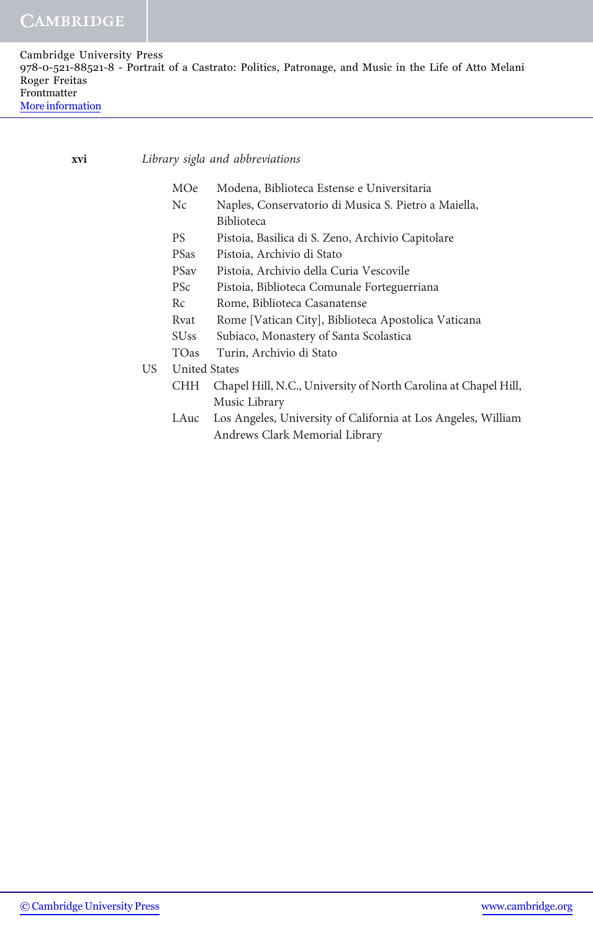#### xvi Library sigla and abbreviations

| MOe |  |  |  |  | Modena, Biblioteca Estense e Universitaria |
|-----|--|--|--|--|--------------------------------------------|
|-----|--|--|--|--|--------------------------------------------|

- Nc Naples, Conservatorio di Musica S. Pietro a Maiella, Biblioteca
- PS Pistoia, Basilica di S. Zeno, Archivio Capitolare
- PSas Pistoia, Archivio di Stato
- PSav Pistoia, Archivio della Curia Vescovile
- PSc Pistoia, Biblioteca Comunale Forteguerriana
- Rc Rome, Biblioteca Casanatense
- Rvat Rome [Vatican City], Biblioteca Apostolica Vaticana
- SUss Subiaco, Monastery of Santa Scolastica
- TOas Turin, Archivio di Stato

#### US United States

- CHH Chapel Hill, N.C., University of North Carolina at Chapel Hill, Music Library
- LAuc Los Angeles, University of California at Los Angeles, William Andrews Clark Memorial Library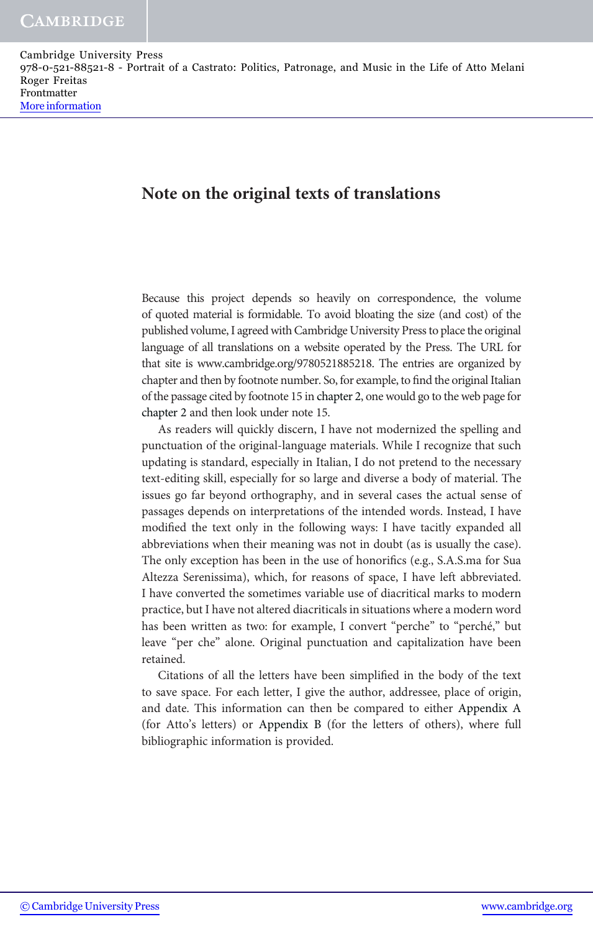### Note on the original texts of translations

Because this project depends so heavily on correspondence, the volume of quoted material is formidable. To avoid bloating the size (and cost) of the published volume, I agreed with Cambridge University Press to place the original language of all translations on a website operated by the Press. The URL for that site is www.cambridge.org/9780521885218. The entries are organized by chapter and then by footnote number. So, for example, to find the original Italian of the passage cited by footnote 15 in chapter 2, one would go to the web page for chapter 2 and then look under note 15.

As readers will quickly discern, I have not modernized the spelling and punctuation of the original-language materials. While I recognize that such updating is standard, especially in Italian, I do not pretend to the necessary text-editing skill, especially for so large and diverse a body of material. The issues go far beyond orthography, and in several cases the actual sense of passages depends on interpretations of the intended words. Instead, I have modified the text only in the following ways: I have tacitly expanded all abbreviations when their meaning was not in doubt (as is usually the case). The only exception has been in the use of honorifics (e.g., S.A.S.ma for Sua Altezza Serenissima), which, for reasons of space, I have left abbreviated. I have converted the sometimes variable use of diacritical marks to modern practice, but I have not altered diacriticals in situations where a modern word has been written as two: for example, I convert "perche" to "perché," but leave "per che" alone. Original punctuation and capitalization have been retained.

Citations of all the letters have been simplified in the body of the text to save space. For each letter, I give the author, addressee, place of origin, and date. This information can then be compared to either Appendix A (for Atto's letters) or Appendix B (for the letters of others), where full bibliographic information is provided.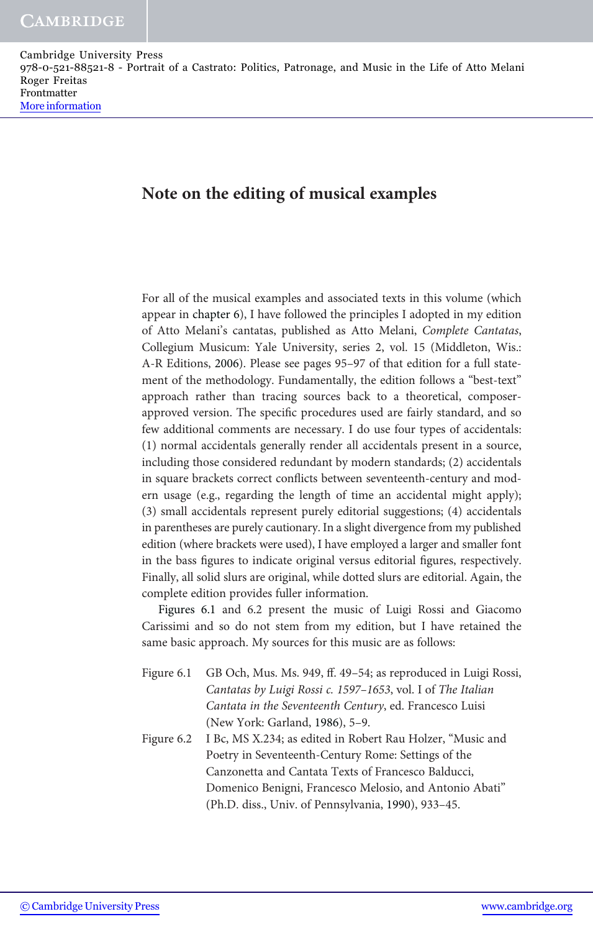## Note on the editing of musical examples

For all of the musical examples and associated texts in this volume (which appear in chapter 6), I have followed the principles I adopted in my edition of Atto Melani's cantatas, published as Atto Melani, Complete Cantatas, Collegium Musicum: Yale University, series 2, vol. 15 (Middleton, Wis.: A-R Editions, 2006). Please see pages 95–97 of that edition for a full statement of the methodology. Fundamentally, the edition follows a "best-text" approach rather than tracing sources back to a theoretical, composerapproved version. The specific procedures used are fairly standard, and so few additional comments are necessary. I do use four types of accidentals: (1) normal accidentals generally render all accidentals present in a source, including those considered redundant by modern standards; (2) accidentals in square brackets correct conflicts between seventeenth-century and modern usage (e.g., regarding the length of time an accidental might apply); (3) small accidentals represent purely editorial suggestions; (4) accidentals in parentheses are purely cautionary. In a slight divergence from my published edition (where brackets were used), I have employed a larger and smaller font in the bass figures to indicate original versus editorial figures, respectively. Finally, all solid slurs are original, while dotted slurs are editorial. Again, the complete edition provides fuller information.

Figures 6.1 and 6.2 present the music of Luigi Rossi and Giacomo Carissimi and so do not stem from my edition, but I have retained the same basic approach. My sources for this music are as follows:

- Figure 6.1 GB Och, Mus. Ms. 949, ff. 49–54; as reproduced in Luigi Rossi, Cantatas by Luigi Rossi c. 1597–1653, vol. I of The Italian Cantata in the Seventeenth Century, ed. Francesco Luisi (New York: Garland, 1986), 5–9.
- Figure 6.2 I Bc, MS X.234; as edited in Robert Rau Holzer, "Music and Poetry in Seventeenth-Century Rome: Settings of the Canzonetta and Cantata Texts of Francesco Balducci, Domenico Benigni, Francesco Melosio, and Antonio Abati" (Ph.D. diss., Univ. of Pennsylvania, 1990), 933–45.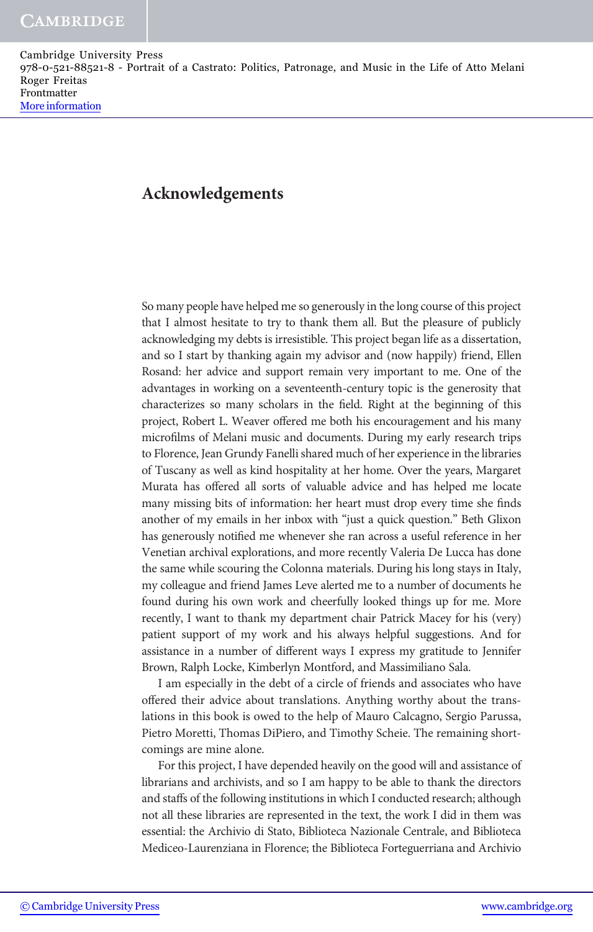# Acknowledgements

So many people have helped me so generously in the long course of this project that I almost hesitate to try to thank them all. But the pleasure of publicly acknowledging my debts is irresistible. This project began life as a dissertation, and so I start by thanking again my advisor and (now happily) friend, Ellen Rosand: her advice and support remain very important to me. One of the advantages in working on a seventeenth-century topic is the generosity that characterizes so many scholars in the field. Right at the beginning of this project, Robert L. Weaver offered me both his encouragement and his many microfilms of Melani music and documents. During my early research trips to Florence, Jean Grundy Fanelli shared much of her experience in the libraries of Tuscany as well as kind hospitality at her home. Over the years, Margaret Murata has offered all sorts of valuable advice and has helped me locate many missing bits of information: her heart must drop every time she finds another of my emails in her inbox with "just a quick question." Beth Glixon has generously notified me whenever she ran across a useful reference in her Venetian archival explorations, and more recently Valeria De Lucca has done the same while scouring the Colonna materials. During his long stays in Italy, my colleague and friend James Leve alerted me to a number of documents he found during his own work and cheerfully looked things up for me. More recently, I want to thank my department chair Patrick Macey for his (very) patient support of my work and his always helpful suggestions. And for assistance in a number of different ways I express my gratitude to Jennifer Brown, Ralph Locke, Kimberlyn Montford, and Massimiliano Sala.

I am especially in the debt of a circle of friends and associates who have offered their advice about translations. Anything worthy about the translations in this book is owed to the help of Mauro Calcagno, Sergio Parussa, Pietro Moretti, Thomas DiPiero, and Timothy Scheie. The remaining shortcomings are mine alone.

For this project, I have depended heavily on the good will and assistance of librarians and archivists, and so I am happy to be able to thank the directors and staffs of the following institutions in which I conducted research; although not all these libraries are represented in the text, the work I did in them was essential: the Archivio di Stato, Biblioteca Nazionale Centrale, and Biblioteca Mediceo-Laurenziana in Florence; the Biblioteca Forteguerriana and Archivio